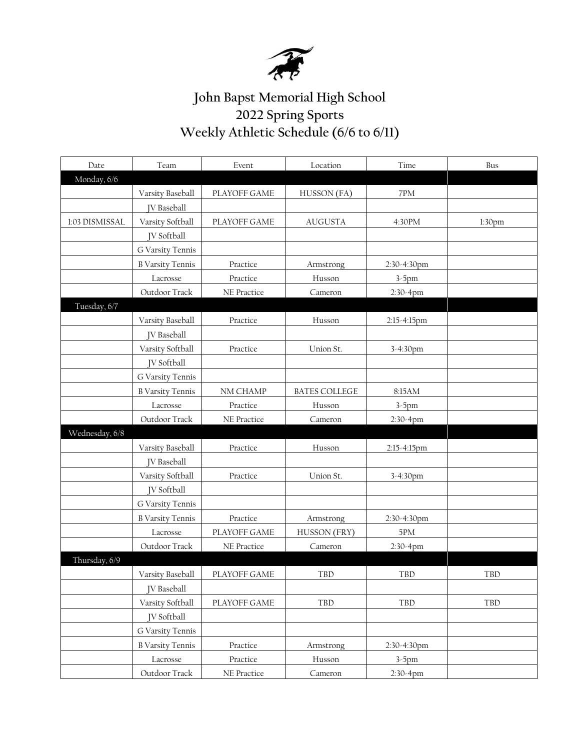

## **John Bapst Memorial High School 2022 Spring Sports Weekly Athletic Schedule (6/6 to 6/11)**

| Date           | Team                    | Event              | Location             | Time        | Bus                |
|----------------|-------------------------|--------------------|----------------------|-------------|--------------------|
| Monday, 6/6    |                         |                    |                      |             |                    |
|                | Varsity Baseball        | PLAYOFF GAME       | HUSSON (FA)          | 7PM         |                    |
|                | <b>IV</b> Baseball      |                    |                      |             |                    |
| 1:03 DISMISSAL | Varsity Softball        | PLAYOFF GAME       | <b>AUGUSTA</b>       | 4:30PM      | 1:30 <sub>pm</sub> |
|                | <b>IV</b> Softball      |                    |                      |             |                    |
|                | G Varsity Tennis        |                    |                      |             |                    |
|                | <b>B Varsity Tennis</b> | Practice           | Armstrong            | 2:30-4:30pm |                    |
|                | Lacrosse                | Practice           | Husson               | $3-5$ pm    |                    |
|                | Outdoor Track           | <b>NE</b> Practice | Cameron              | 2:30-4pm    |                    |
| Tuesday, 6/7   |                         |                    |                      |             |                    |
|                | Varsity Baseball        | Practice           | Husson               | 2:15-4:15pm |                    |
|                | <b>IV</b> Baseball      |                    |                      |             |                    |
|                | Varsity Softball        | Practice           | Union St.            | 3-4:30pm    |                    |
|                | <b>IV</b> Softball      |                    |                      |             |                    |
|                | G Varsity Tennis        |                    |                      |             |                    |
|                | <b>B Varsity Tennis</b> | NM CHAMP           | <b>BATES COLLEGE</b> | 8:15AM      |                    |
|                | Lacrosse                | Practice           | Husson               | $3-5$ pm    |                    |
|                | Outdoor Track           | NE Practice        | Cameron              | 2:30-4pm    |                    |
| Wednesday, 6/8 |                         |                    |                      |             |                    |
|                | Varsity Baseball        | Practice           | Husson               | 2:15-4:15pm |                    |
|                | <b>JV</b> Baseball      |                    |                      |             |                    |
|                | Varsity Softball        | Practice           | Union St.            | 3-4:30pm    |                    |
|                | <b>IV</b> Softball      |                    |                      |             |                    |
|                | G Varsity Tennis        |                    |                      |             |                    |
|                | <b>B Varsity Tennis</b> | Practice           | Armstrong            | 2:30-4:30pm |                    |
|                | Lacrosse                | PLAYOFF GAME       | HUSSON (FRY)         | 5PM         |                    |
|                | Outdoor Track           | NE Practice        | Cameron              | 2:30-4pm    |                    |
| Thursday, 6/9  |                         |                    |                      |             |                    |
|                | Varsity Baseball        | PLAYOFF GAME       | <b>TBD</b>           | TBD         | TBD                |
|                | JV Baseball             |                    |                      |             |                    |
|                | Varsity Softball        | PLAYOFF GAME       | TBD                  | TBD         | TBD                |
|                | JV Softball             |                    |                      |             |                    |
|                | G Varsity Tennis        |                    |                      |             |                    |
|                | <b>B Varsity Tennis</b> | Practice           | Armstrong            | 2:30-4:30pm |                    |
|                | Lacrosse                | Practice           | Husson               | $3-5$ pm    |                    |
|                | Outdoor Track           | NE Practice        | Cameron              | 2:30-4pm    |                    |